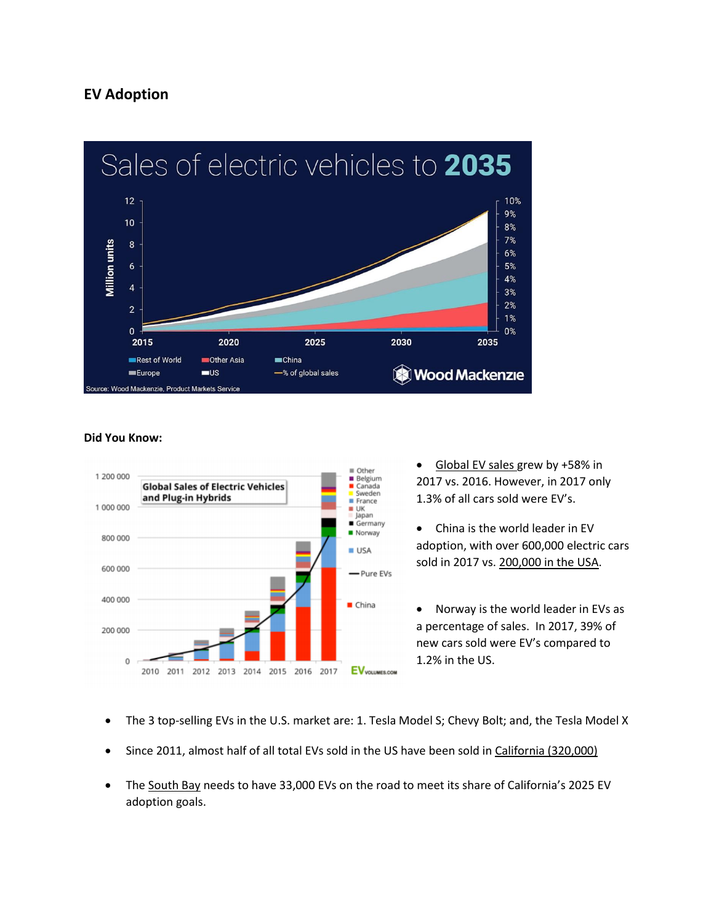# **EV Adoption**



### **Did You Know:**



• Global EV sales grew by +58% in 2017 vs. 2016. However, in 2017 only 1.3% of all cars sold were EV's.

• China is the world leader in EV adoption, with over 600,000 electric cars sold in 2017 vs. 200,000 in the USA.

• Norway is the world leader in EVs as a percentage of sales. In 2017, 39% of new cars sold were EV's compared to 1.2% in the US.

- The 3 top-selling EVs in the U.S. market are: 1. Tesla Model S; Chevy Bolt; and, the Tesla Model X
- Since 2011, almost half of all total EVs sold in the US have been sold in California (320,000)
- The South Bay needs to have 33,000 EVs on the road to meet its share of California's 2025 EV adoption goals.